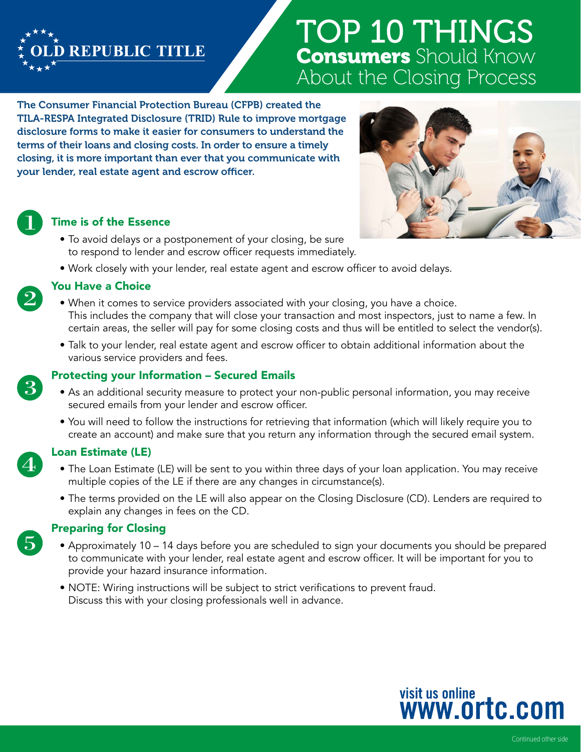

# TOP 10 THINGS **Consumers** Should Know About the Closing Process

The Consumer Financial Protection Bureau (CFPB) created the TILA-RESPA Integrated Disclosure (TRID) Rule to improve mortgage disclosure forms to make it easier for consumers to understand the terms of their loans and closing costs. In order to ensure a timely closing, it is more important than ever that you communicate with your lender, real estate agent and escrow officer.



### Time is of the Essence

- To avoid delays or a postponement of your closing, be sure to respond to lender and escrow officer requests immediately.
- Work closely with your lender, real estate agent and escrow officer to avoid delays.



### You Have a Choice

- When it comes to service providers associated with your closing, you have a choice. This includes the company that will close your transaction and most inspectors, just to name a few. In certain areas, the seller will pay for some closing costs and thus will be entitled to select the vendor(s).
- Talk to your lender, real estate agent and escrow officer to obtain additional information about the various service providers and fees.



 $\overline{5}$ 

### Protecting your Information – Secured Emails

- As an additional security measure to protect your non-public personal information, you may receive secured emails from your lender and escrow officer.
- You will need to follow the instructions for retrieving that information (which will likely require you to create an account) and make sure that you return any information through the secured email system.

### Loan Estimate (LE)

- The Loan Estimate (LE) will be sent to you within three days of your loan application. You may receive multiple copies of the LE if there are any changes in circumstance(s).
- The terms provided on the LE will also appear on the Closing Disclosure (CD). Lenders are required to explain any changes in fees on the CD.

# Preparing for Closing

- Approximately 10 14 days before you are scheduled to sign your documents you should be prepared to communicate with your lender, real estate agent and escrow officer. It will be important for you to provide your hazard insurance information.
- NOTE: Wiring instructions will be subject to strict verifications to prevent fraud. Discuss this with your closing professionals well in advance.





Continued other side